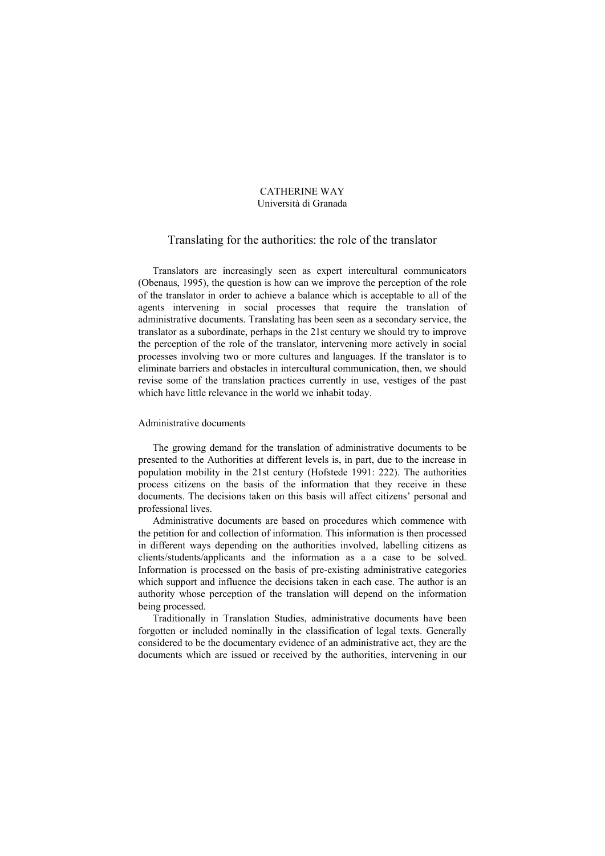# CATHERINE WAY Università di Granada

# Translating for the authorities: the role of the translator

Translators are increasingly seen as expert intercultural communicators (Obenaus, 1995), the question is how can we improve the perception of the role of the translator in order to achieve a balance which is acceptable to all of the agents intervening in social processes that require the translation of administrative documents. Translating has been seen as a secondary service, the translator as a subordinate, perhaps in the 21st century we should try to improve the perception of the role of the translator, intervening more actively in social processes involving two or more cultures and languages. If the translator is to eliminate barriers and obstacles in intercultural communication, then, we should revise some of the translation practices currently in use, vestiges of the past which have little relevance in the world we inhabit today.

# Administrative documents

The growing demand for the translation of administrative documents to be presented to the Authorities at different levels is, in part, due to the increase in population mobility in the 21st century (Hofstede 1991: 222). The authorities process citizens on the basis of the information that they receive in these documents. The decisions taken on this basis will affect citizens' personal and professional lives.

Administrative documents are based on procedures which commence with the petition for and collection of information. This information is then processed in different ways depending on the authorities involved, labelling citizens as clients/students/applicants and the information as a a case to be solved. Information is processed on the basis of pre-existing administrative categories which support and influence the decisions taken in each case. The author is an authority whose perception of the translation will depend on the information being processed.

Traditionally in Translation Studies, administrative documents have been forgotten or included nominally in the classification of legal texts. Generally considered to be the documentary evidence of an administrative act, they are the documents which are issued or received by the authorities, intervening in our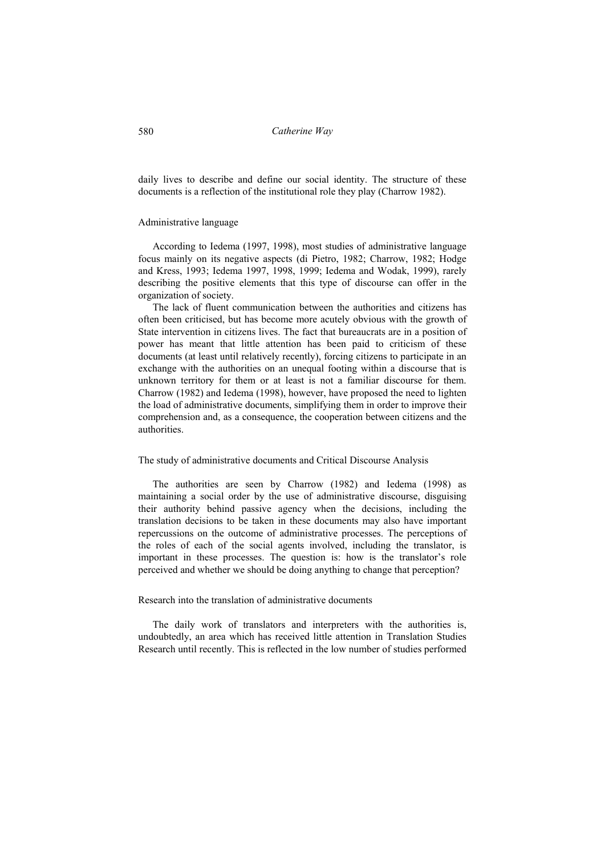daily lives to describe and define our social identity. The structure of these documents is a reflection of the institutional role they play (Charrow 1982).

# Administrative language

According to Iedema (1997, 1998), most studies of administrative language focus mainly on its negative aspects (di Pietro, 1982; Charrow, 1982; Hodge and Kress, 1993; Iedema 1997, 1998, 1999; Iedema and Wodak, 1999), rarely describing the positive elements that this type of discourse can offer in the organization of society.

The lack of fluent communication between the authorities and citizens has often been criticised, but has become more acutely obvious with the growth of State intervention in citizens lives. The fact that bureaucrats are in a position of power has meant that little attention has been paid to criticism of these documents (at least until relatively recently), forcing citizens to participate in an exchange with the authorities on an unequal footing within a discourse that is unknown territory for them or at least is not a familiar discourse for them. Charrow (1982) and Iedema (1998), however, have proposed the need to lighten the load of administrative documents, simplifying them in order to improve their comprehension and, as a consequence, the cooperation between citizens and the authorities.

## The study of administrative documents and Critical Discourse Analysis

The authorities are seen by Charrow (1982) and Iedema (1998) as maintaining a social order by the use of administrative discourse, disguising their authority behind passive agency when the decisions, including the translation decisions to be taken in these documents may also have important repercussions on the outcome of administrative processes. The perceptions of the roles of each of the social agents involved, including the translator, is important in these processes. The question is: how is the translator's role perceived and whether we should be doing anything to change that perception?

### Research into the translation of administrative documents

The daily work of translators and interpreters with the authorities is, undoubtedly, an area which has received little attention in Translation Studies Research until recently. This is reflected in the low number of studies performed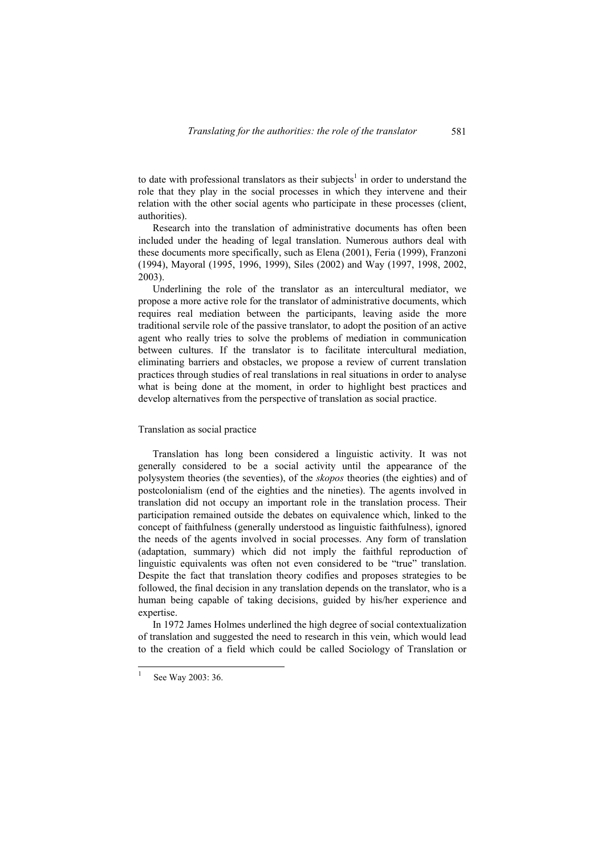to date with professional translators as their subjects<sup>1</sup> in order to understand the role that they play in the social processes in which they intervene and their relation with the other social agents who participate in these processes (client, authorities).

Research into the translation of administrative documents has often been included under the heading of legal translation. Numerous authors deal with these documents more specifically, such as Elena (2001), Feria (1999), Franzoni (1994), Mayoral (1995, 1996, 1999), Siles (2002) and Way (1997, 1998, 2002, 2003).

Underlining the role of the translator as an intercultural mediator, we propose a more active role for the translator of administrative documents, which requires real mediation between the participants, leaving aside the more traditional servile role of the passive translator, to adopt the position of an active agent who really tries to solve the problems of mediation in communication between cultures. If the translator is to facilitate intercultural mediation, eliminating barriers and obstacles, we propose a review of current translation practices through studies of real translations in real situations in order to analyse what is being done at the moment, in order to highlight best practices and develop alternatives from the perspective of translation as social practice.

#### Translation as social practice

Translation has long been considered a linguistic activity. It was not generally considered to be a social activity until the appearance of the polysystem theories (the seventies), of the *skopos* theories (the eighties) and of postcolonialism (end of the eighties and the nineties). The agents involved in translation did not occupy an important role in the translation process. Their participation remained outside the debates on equivalence which, linked to the concept of faithfulness (generally understood as linguistic faithfulness), ignored the needs of the agents involved in social processes. Any form of translation (adaptation, summary) which did not imply the faithful reproduction of linguistic equivalents was often not even considered to be "true" translation. Despite the fact that translation theory codifies and proposes strategies to be followed, the final decision in any translation depends on the translator, who is a human being capable of taking decisions, guided by his/her experience and expertise.

In 1972 James Holmes underlined the high degree of social contextualization of translation and suggested the need to research in this vein, which would lead to the creation of a field which could be called Sociology of Translation or

 $\frac{1}{1}$ 

See Way 2003: 36.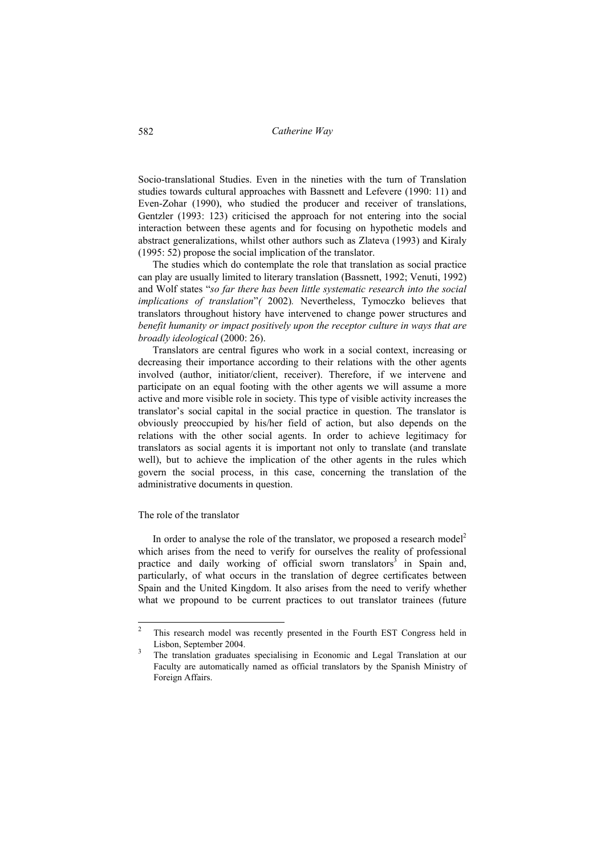Socio-translational Studies. Even in the nineties with the turn of Translation studies towards cultural approaches with Bassnett and Lefevere (1990: 11) and Even-Zohar (1990), who studied the producer and receiver of translations, Gentzler (1993: 123) criticised the approach for not entering into the social interaction between these agents and for focusing on hypothetic models and abstract generalizations, whilst other authors such as Zlateva (1993) and Kiraly (1995: 52) propose the social implication of the translator.

The studies which do contemplate the role that translation as social practice can play are usually limited to literary translation (Bassnett, 1992; Venuti, 1992) and Wolf states "*so far there has been little systematic research into the social implications of translation*"*(* 2002)*.* Nevertheless, Tymoczko believes that translators throughout history have intervened to change power structures and *benefit humanity or impact positively upon the receptor culture in ways that are broadly ideological* (2000: 26).

Translators are central figures who work in a social context, increasing or decreasing their importance according to their relations with the other agents involved (author, initiator/client, receiver). Therefore, if we intervene and participate on an equal footing with the other agents we will assume a more active and more visible role in society. This type of visible activity increases the translator's social capital in the social practice in question. The translator is obviously preoccupied by his/her field of action, but also depends on the relations with the other social agents. In order to achieve legitimacy for translators as social agents it is important not only to translate (and translate well), but to achieve the implication of the other agents in the rules which govern the social process, in this case, concerning the translation of the administrative documents in question.

#### The role of the translator

In order to analyse the role of the translator, we proposed a research model<sup>2</sup> which arises from the need to verify for ourselves the reality of professional practice and daily working of official sworn translators<sup>3</sup> in Spain and, particularly, of what occurs in the translation of degree certificates between Spain and the United Kingdom. It also arises from the need to verify whether what we propound to be current practices to out translator trainees (future

<sup>2&</sup>lt;br>2 This research model was recently presented in the Fourth EST Congress held in Lisbon, September 2004.

The translation graduates specialising in Economic and Legal Translation at our Faculty are automatically named as official translators by the Spanish Ministry of Foreign Affairs.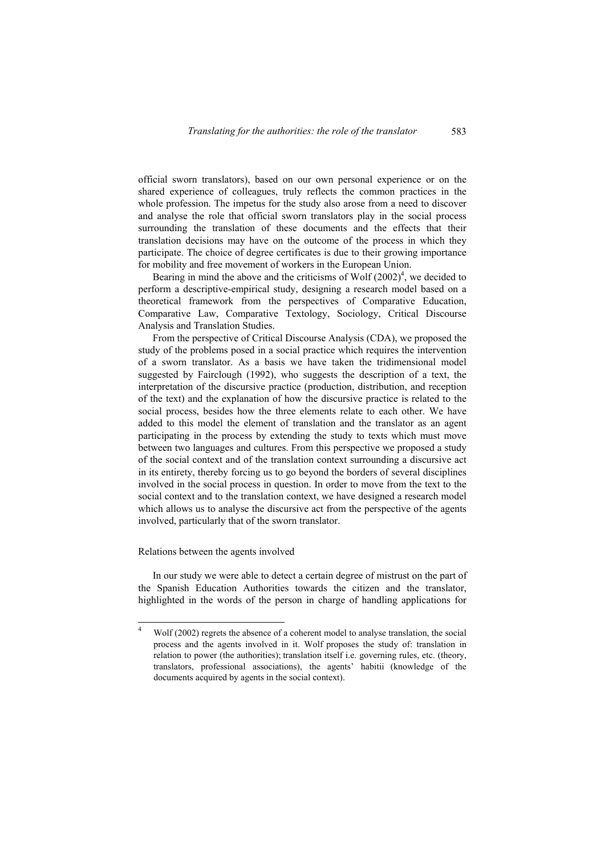official sworn translators), based on our own personal experience or on the shared experience of colleagues, truly reflects the common practices in the whole profession. The impetus for the study also arose from a need to discover and analyse the role that official sworn translators play in the social process surrounding the translation of these documents and the effects that their translation decisions may have on the outcome of the process in which they participate. The choice of degree certificates is due to their growing importance for mobility and free movement of workers in the European Union.

Bearing in mind the above and the criticisms of Wolf  $(2002)^4$ , we decided to perform a descriptive-empirical study, designing a research model based on a theoretical framework from the perspectives of Comparative Education, Comparative Law, Comparative Textology, Sociology, Critical Discourse Analysis and Translation Studies.

From the perspective of Critical Discourse Analysis (CDA), we proposed the study of the problems posed in a social practice which requires the intervention of a sworn translator. As a basis we have taken the tridimensional model suggested by Fairclough (1992), who suggests the description of a text, the interpretation of the discursive practice (production, distribution, and reception of the text) and the explanation of how the discursive practice is related to the social process, besides how the three elements relate to each other. We have added to this model the element of translation and the translator as an agent participating in the process by extending the study to texts which must move between two languages and cultures. From this perspective we proposed a study of the social context and of the translation context surrounding a discursive act in its entirety, thereby forcing us to go beyond the borders of several disciplines involved in the social process in question. In order to move from the text to the social context and to the translation context, we have designed a research model which allows us to analyse the discursive act from the perspective of the agents involved, particularly that of the sworn translator.

# Relations between the agents involved

In our study we were able to detect a certain degree of mistrust on the part of the Spanish Education Authorities towards the citizen and the translator, highlighted in the words of the person in charge of handling applications for

<sup>-&</sup>lt;br>4 Wolf (2002) regrets the absence of a coherent model to analyse translation, the social process and the agents involved in it. Wolf proposes the study of: translation in relation to power (the authorities); translation itself i.e. governing rules, etc. (theory, translators, professional associations), the agents' habitii (knowledge of the documents acquired by agents in the social context).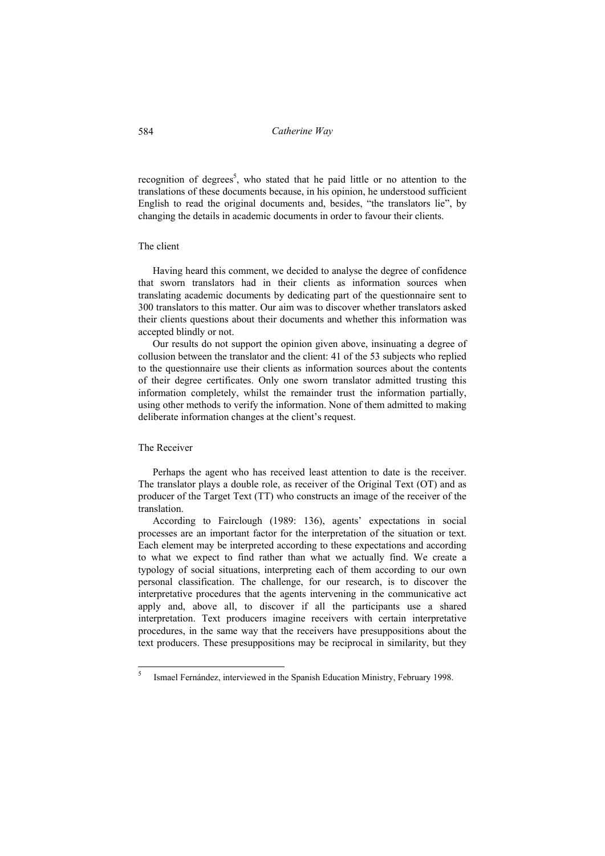recognition of degrees<sup>5</sup>, who stated that he paid little or no attention to the translations of these documents because, in his opinion, he understood sufficient English to read the original documents and, besides, "the translators lie", by changing the details in academic documents in order to favour their clients.

# The client

Having heard this comment, we decided to analyse the degree of confidence that sworn translators had in their clients as information sources when translating academic documents by dedicating part of the questionnaire sent to 300 translators to this matter. Our aim was to discover whether translators asked their clients questions about their documents and whether this information was accepted blindly or not.

Our results do not support the opinion given above, insinuating a degree of collusion between the translator and the client: 41 of the 53 subjects who replied to the questionnaire use their clients as information sources about the contents of their degree certificates. Only one sworn translator admitted trusting this information completely, whilst the remainder trust the information partially, using other methods to verify the information. None of them admitted to making deliberate information changes at the client's request.

### The Receiver

-<br>5

Perhaps the agent who has received least attention to date is the receiver. The translator plays a double role, as receiver of the Original Text (OT) and as producer of the Target Text (TT) who constructs an image of the receiver of the translation.

According to Fairclough (1989: 136), agents' expectations in social processes are an important factor for the interpretation of the situation or text. Each element may be interpreted according to these expectations and according to what we expect to find rather than what we actually find. We create a typology of social situations, interpreting each of them according to our own personal classification. The challenge, for our research, is to discover the interpretative procedures that the agents intervening in the communicative act apply and, above all, to discover if all the participants use a shared interpretation. Text producers imagine receivers with certain interpretative procedures, in the same way that the receivers have presuppositions about the text producers. These presuppositions may be reciprocal in similarity, but they

Ismael Fernández, interviewed in the Spanish Education Ministry, February 1998.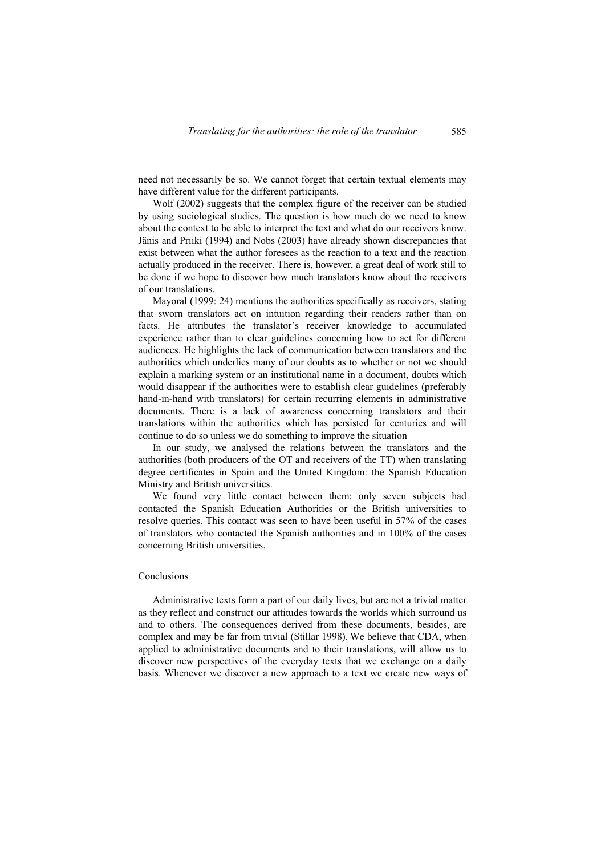need not necessarily be so. We cannot forget that certain textual elements may have different value for the different participants.

Wolf (2002) suggests that the complex figure of the receiver can be studied by using sociological studies. The question is how much do we need to know about the context to be able to interpret the text and what do our receivers know. Jänis and Priiki (1994) and Nobs (2003) have already shown discrepancies that exist between what the author foresees as the reaction to a text and the reaction actually produced in the receiver. There is, however, a great deal of work still to be done if we hope to discover how much translators know about the receivers of our translations.

Mayoral (1999: 24) mentions the authorities specifically as receivers, stating that sworn translators act on intuition regarding their readers rather than on facts. He attributes the translator's receiver knowledge to accumulated experience rather than to clear guidelines concerning how to act for different audiences. He highlights the lack of communication between translators and the authorities which underlies many of our doubts as to whether or not we should explain a marking system or an institutional name in a document, doubts which would disappear if the authorities were to establish clear guidelines (preferably hand-in-hand with translators) for certain recurring elements in administrative documents. There is a lack of awareness concerning translators and their translations within the authorities which has persisted for centuries and will continue to do so unless we do something to improve the situation

In our study, we analysed the relations between the translators and the authorities (both producers of the OT and receivers of the TT) when translating degree certificates in Spain and the United Kingdom: the Spanish Education Ministry and British universities.

We found very little contact between them: only seven subjects had contacted the Spanish Education Authorities or the British universities to resolve queries. This contact was seen to have been useful in 57% of the cases of translators who contacted the Spanish authorities and in 100% of the cases concerning British universities.

### Conclusions

Administrative texts form a part of our daily lives, but are not a trivial matter as they reflect and construct our attitudes towards the worlds which surround us and to others. The consequences derived from these documents, besides, are complex and may be far from trivial (Stillar 1998). We believe that CDA, when applied to administrative documents and to their translations, will allow us to discover new perspectives of the everyday texts that we exchange on a daily basis. Whenever we discover a new approach to a text we create new ways of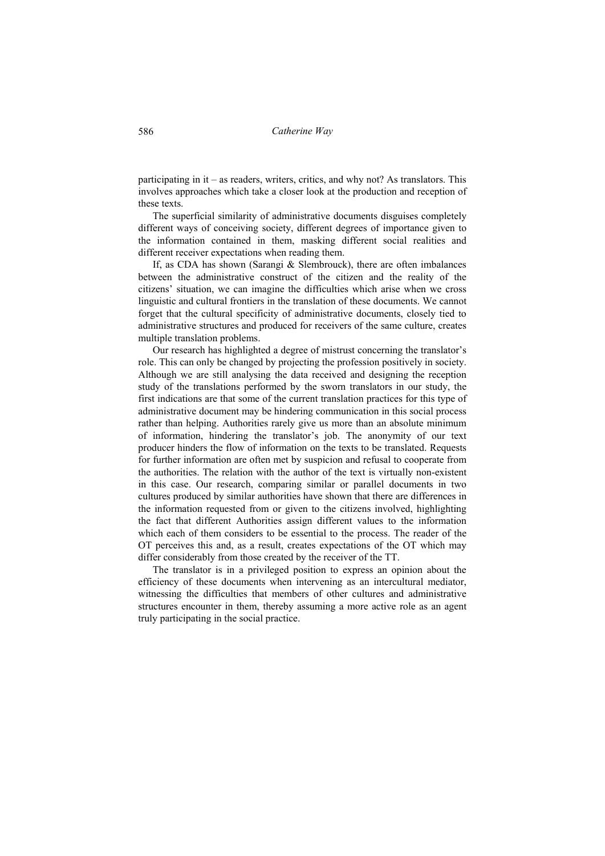participating in it – as readers, writers, critics, and why not? As translators. This involves approaches which take a closer look at the production and reception of these texts.

The superficial similarity of administrative documents disguises completely different ways of conceiving society, different degrees of importance given to the information contained in them, masking different social realities and different receiver expectations when reading them.

If, as CDA has shown (Sarangi & Slembrouck), there are often imbalances between the administrative construct of the citizen and the reality of the citizens' situation, we can imagine the difficulties which arise when we cross linguistic and cultural frontiers in the translation of these documents. We cannot forget that the cultural specificity of administrative documents, closely tied to administrative structures and produced for receivers of the same culture, creates multiple translation problems.

Our research has highlighted a degree of mistrust concerning the translator's role. This can only be changed by projecting the profession positively in society. Although we are still analysing the data received and designing the reception study of the translations performed by the sworn translators in our study, the first indications are that some of the current translation practices for this type of administrative document may be hindering communication in this social process rather than helping. Authorities rarely give us more than an absolute minimum of information, hindering the translator's job. The anonymity of our text producer hinders the flow of information on the texts to be translated. Requests for further information are often met by suspicion and refusal to cooperate from the authorities. The relation with the author of the text is virtually non-existent in this case. Our research, comparing similar or parallel documents in two cultures produced by similar authorities have shown that there are differences in the information requested from or given to the citizens involved, highlighting the fact that different Authorities assign different values to the information which each of them considers to be essential to the process. The reader of the OT perceives this and, as a result, creates expectations of the OT which may differ considerably from those created by the receiver of the TT.

The translator is in a privileged position to express an opinion about the efficiency of these documents when intervening as an intercultural mediator, witnessing the difficulties that members of other cultures and administrative structures encounter in them, thereby assuming a more active role as an agent truly participating in the social practice.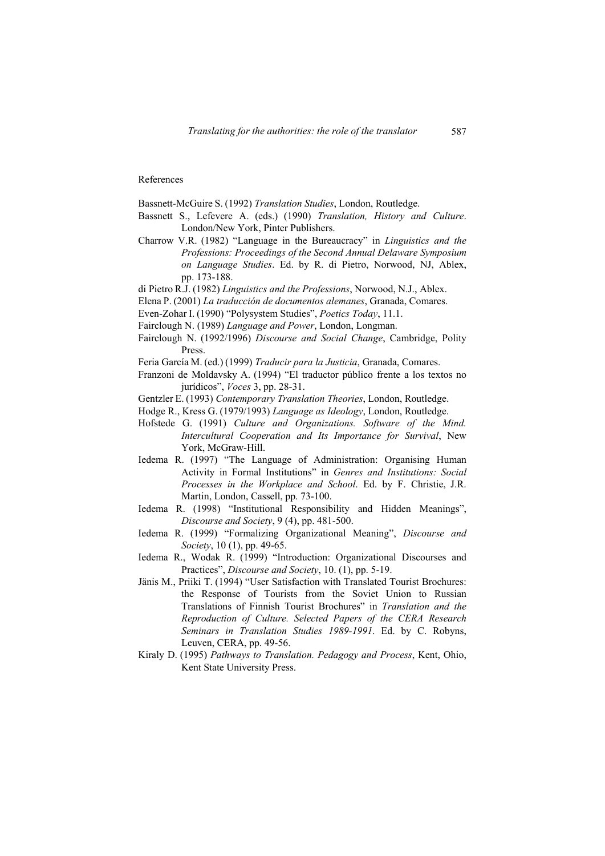#### References

Bassnett-McGuire S. (1992) *Translation Studies*, London, Routledge.

- Bassnett S., Lefevere A. (eds.) (1990) *Translation, History and Culture*. London/New York, Pinter Publishers.
- Charrow V.R. (1982) "Language in the Bureaucracy" in *Linguistics and the Professions: Proceedings of the Second Annual Delaware Symposium on Language Studies*. Ed. by R. di Pietro, Norwood, NJ, Ablex, pp. 173-188.
- di Pietro R.J. (1982) *Linguistics and the Professions*, Norwood, N.J., Ablex.
- Elena P. (2001) *La traducción de documentos alemanes*, Granada, Comares.
- Even-Zohar I. (1990) "Polysystem Studies", *Poetics Today*, 11.1.
- Fairclough N. (1989) *Language and Power*, London, Longman.
- Fairclough N. (1992/1996) *Discourse and Social Change*, Cambridge, Polity Press.
- Feria García M. (ed.) (1999) *Traducir para la Justicia*, Granada, Comares.
- Franzoni de Moldavsky A. (1994) "El traductor público frente a los textos no jurídicos", *Voces* 3, pp. 28-31.
- Gentzler E. (1993) *Contemporary Translation Theories*, London, Routledge.
- Hodge R., Kress G. (1979/1993) *Language as Ideology*, London, Routledge.
- Hofstede G. (1991) *Culture and Organizations. Software of the Mind. Intercultural Cooperation and Its Importance for Survival*, New York, McGraw-Hill.
- Iedema R. (1997) "The Language of Administration: Organising Human Activity in Formal Institutions" in *Genres and Institutions: Social Processes in the Workplace and School*. Ed. by F. Christie, J.R. Martin, London, Cassell, pp. 73-100.
- Iedema R. (1998) "Institutional Responsibility and Hidden Meanings", *Discourse and Society*, 9 (4), pp. 481-500.
- Iedema R. (1999) "Formalizing Organizational Meaning", *Discourse and Society*, 10 (1), pp. 49-65.
- Iedema R., Wodak R. (1999) "Introduction: Organizational Discourses and Practices", *Discourse and Society*, 10. (1), pp. 5-19.
- Jänis M., Priiki T. (1994) "User Satisfaction with Translated Tourist Brochures: the Response of Tourists from the Soviet Union to Russian Translations of Finnish Tourist Brochures" in *Translation and the Reproduction of Culture. Selected Papers of the CERA Research Seminars in Translation Studies 1989-1991*. Ed. by C. Robyns, Leuven, CERA, pp. 49-56.
- Kiraly D. (1995) *Pathways to Translation. Pedagogy and Process*, Kent, Ohio, Kent State University Press.